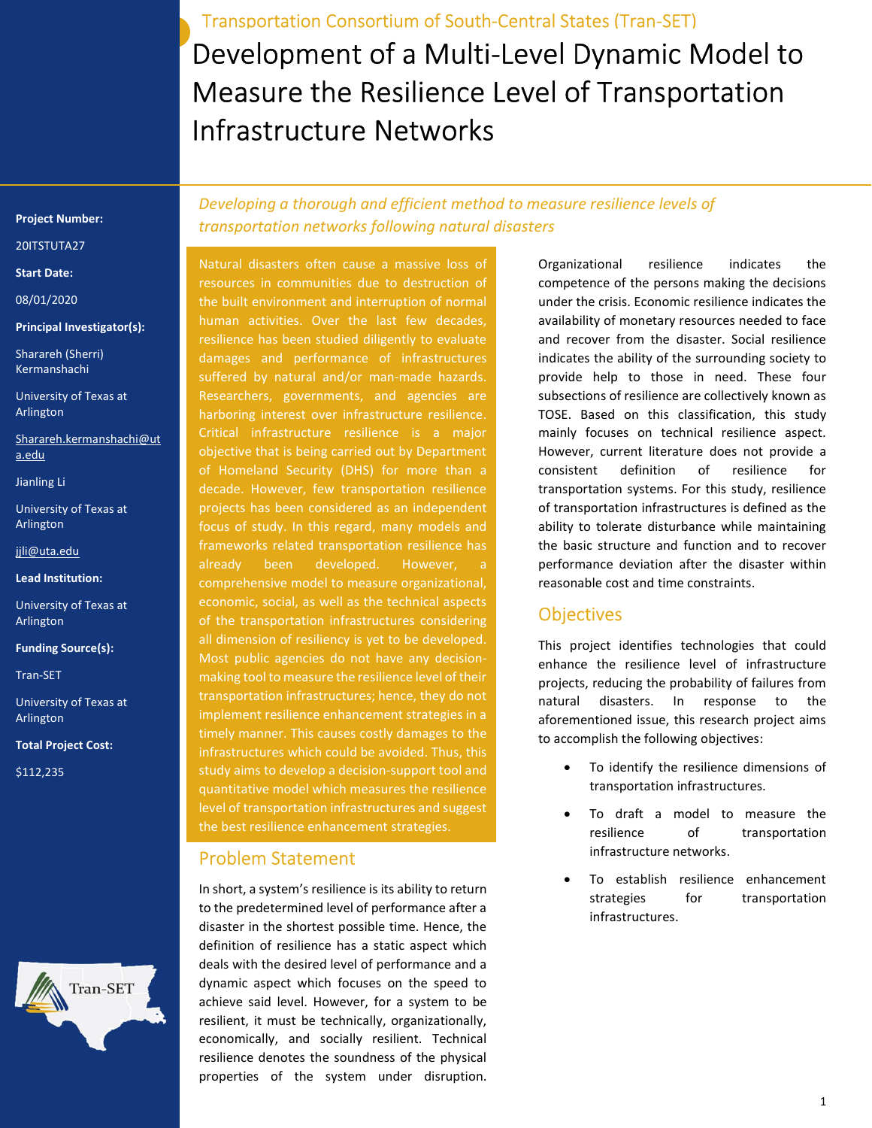Development of a Multi-Level Dynamic Model to Measure the Resilience Level of Transportation Infrastructure Networks Transportation Consortium of South-Central States (Tran-SET)

#### Project Number:

20ITSTUTA27

#### Start Date:

08/01/2020

#### Principal Investigator(s):

Sharareh (Sherri) Kermanshachi

University of Texas at Arlington

Sharareh.kermanshachi@ut a.edu

Jianling Li

University of Texas at Arlington

jjli@uta.edu

Lead Institution:

University of Texas at Arlington

Funding Source(s):

Tran-SET

University of Texas at Arlington

Total Project Cost:

\$112,235



Developing a thorough and efficient method to measure resilience levels of transportation networks following natural disasters

Natural disasters often cause a massive loss of resources in communities due to destruction of the built environment and interruption of normal human activities. Over the last few decades, resilience has been studied diligently to evaluate damages and performance of infrastructures suffered by natural and/or man-made hazards. Researchers, governments, and agencies are harboring interest over infrastructure resilience. Critical infrastructure resilience is a major objective that is being carried out by Department of Homeland Security (DHS) for more than a decade. However, few transportation resilience projects has been considered as an independent focus of study. In this regard, many models and frameworks related transportation resilience has already been developed. However, comprehensive model to measure organizational, economic, social, as well as the technical aspects of the transportation infrastructures considering all dimension of resiliency is yet to be developed. Most public agencies do not have any decisionmaking tool to measure the resilience level of their transportation infrastructures; hence, they do not implement resilience enhancement strategies in a timely manner. This causes costly damages to the infrastructures which could be avoided. Thus, this study aims to develop a decision-support tool and quantitative model which measures the resilience level of transportation infrastructures and suggest the best resilience enhancement strategies.

### Problem Statement

In short, a system's resilience is its ability to return to the predetermined level of performance after a disaster in the shortest possible time. Hence, the definition of resilience has a static aspect which deals with the desired level of performance and a dynamic aspect which focuses on the speed to achieve said level. However, for a system to be resilient, it must be technically, organizationally, economically, and socially resilient. Technical resilience denotes the soundness of the physical properties of the system under disruption.

Organizational resilience indicates the competence of the persons making the decisions under the crisis. Economic resilience indicates the availability of monetary resources needed to face and recover from the disaster. Social resilience indicates the ability of the surrounding society to provide help to those in need. These four subsections of resilience are collectively known as TOSE. Based on this classification, this study mainly focuses on technical resilience aspect. However, current literature does not provide a consistent definition of resilience for transportation systems. For this study, resilience of transportation infrastructures is defined as the ability to tolerate disturbance while maintaining the basic structure and function and to recover performance deviation after the disaster within reasonable cost and time constraints.

### **Objectives**

This project identifies technologies that could enhance the resilience level of infrastructure projects, reducing the probability of failures from natural disasters. In response to the aforementioned issue, this research project aims to accomplish the following objectives:

- To identify the resilience dimensions of transportation infrastructures.
- To draft a model to measure the resilience of transportation infrastructure networks.
- To establish resilience enhancement strategies for transportation infrastructures.